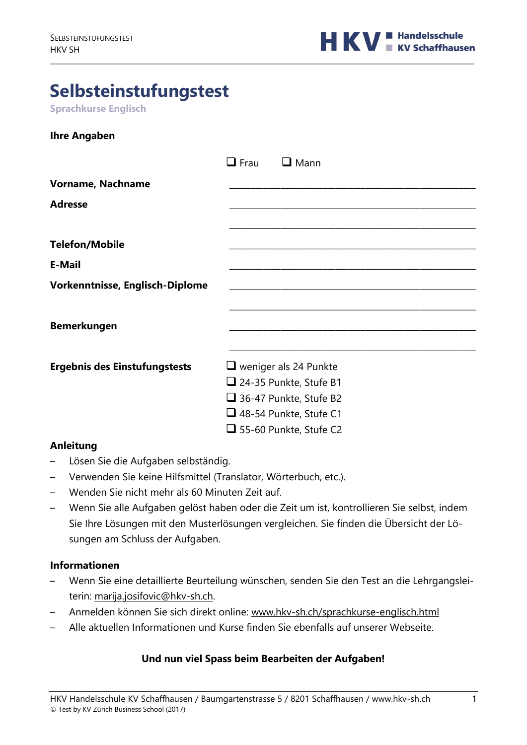

# **Selbsteinstufungstest**

**Sprachkurse Englisch**

| <b>Ihre Angaben</b> |  |
|---------------------|--|
|---------------------|--|

|                                        | $\Box$ Frau<br>$\Box$ Mann                                    |
|----------------------------------------|---------------------------------------------------------------|
| Vorname, Nachname                      |                                                               |
| <b>Adresse</b>                         |                                                               |
| <b>Telefon/Mobile</b>                  |                                                               |
| <b>E-Mail</b>                          |                                                               |
| <b>Vorkenntnisse, Englisch-Diplome</b> |                                                               |
| <b>Bemerkungen</b>                     |                                                               |
|                                        |                                                               |
| <b>Ergebnis des Einstufungstests</b>   | $\Box$ weniger als 24 Punkte<br>$\Box$ 24-35 Punkte, Stufe B1 |
|                                        | $\Box$ 36-47 Punkte, Stufe B2                                 |
|                                        | $\Box$ 48-54 Punkte, Stufe C1                                 |
|                                        | $\Box$ 55-60 Punkte, Stufe C2                                 |

\_\_\_\_\_\_\_\_\_\_\_\_\_\_\_\_\_\_\_\_\_\_\_\_\_\_\_\_\_\_\_\_\_\_\_\_\_\_\_\_\_\_\_\_\_\_\_\_\_\_\_\_\_\_\_\_\_\_\_\_\_\_\_\_\_\_\_\_\_\_\_\_\_\_\_\_\_\_\_\_\_\_\_\_\_\_\_\_\_\_\_\_\_\_\_\_

#### **Anleitung**

- Lösen Sie die Aufgaben selbständig.
- Verwenden Sie keine Hilfsmittel (Translator, Wörterbuch, etc.).
- Wenden Sie nicht mehr als 60 Minuten Zeit auf.
- Wenn Sie alle Aufgaben gelöst haben oder die Zeit um ist, kontrollieren Sie selbst, indem Sie Ihre Lösungen mit den Musterlösungen vergleichen. Sie finden die Übersicht der Lösungen am Schluss der Aufgaben.

#### **Informationen**

- Wenn Sie eine detaillierte Beurteilung wünschen, senden Sie den Test an die Lehrgangsleiterin: marija.josifovic@hkv-sh.ch.
- Anmelden können Sie sich direkt online: www.hkv-sh.ch/sprachkurse-englisch.html
- Alle aktuellen Informationen und Kurse finden Sie ebenfalls auf unserer Webseite.

#### **Und nun viel Spass beim Bearbeiten der Aufgaben!**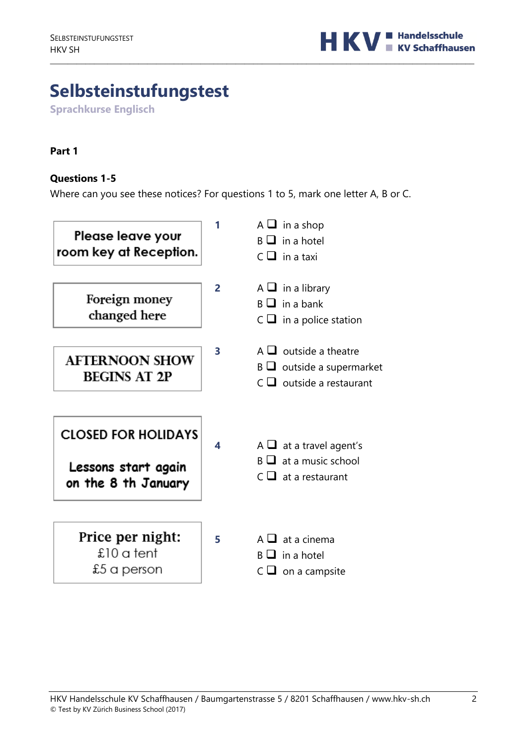

# **Selbsteinstufungstest**

**Sprachkurse Englisch**

#### **Part 1**

#### **Questions 1-5**

Where can you see these notices? For questions 1 to 5, mark one letter A, B or C.

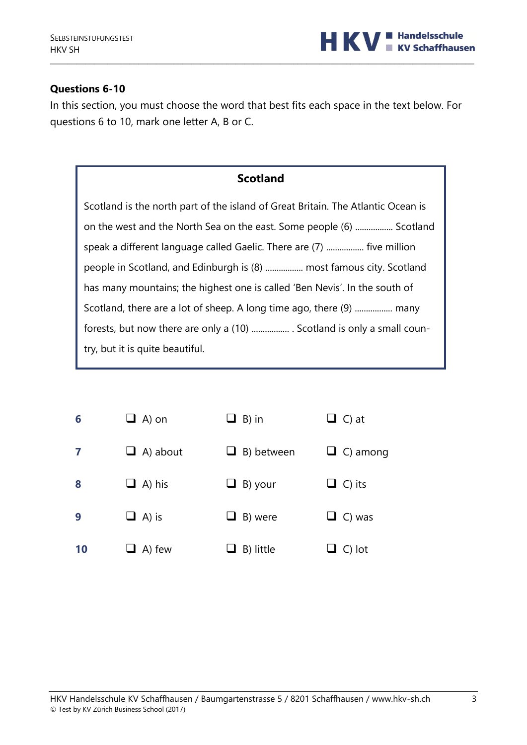

#### **Questions 6-10**

In this section, you must choose the word that best fits each space in the text below. For questions 6 to 10, mark one letter A, B or C.

\_\_\_\_\_\_\_\_\_\_\_\_\_\_\_\_\_\_\_\_\_\_\_\_\_\_\_\_\_\_\_\_\_\_\_\_\_\_\_\_\_\_\_\_\_\_\_\_\_\_\_\_\_\_\_\_\_\_\_\_\_\_\_\_\_\_\_\_\_\_\_\_\_\_\_\_\_\_\_\_\_\_\_\_\_\_\_\_\_\_\_\_\_\_\_\_

Scotland is the north part of the island of Great Britain. The Atlantic Ocean is on the west and the North Sea on the east. Some people (6) ................. Scotland speak a different language called Gaelic. There are (7) ................. five million people in Scotland, and Edinburgh is (8) ................. most famous city. Scotland has many mountains; the highest one is called 'Ben Nevis'. In the south of Scotland, there are a lot of sheep. A long time ago, there (9) .................. many forests, but now there are only a (10) ................... . Scotland is only a small country, but it is quite beautiful.

| 6  | $\Box$ A) on    | B) in<br>⊔        | $\Box$ C) at    |
|----|-----------------|-------------------|-----------------|
| 7  | $\Box$ A) about | B) between<br>⊔   | $\Box$ C) among |
| 8  | $\Box$ A) his   | B) your<br>⊔      | $\Box$ C) its   |
| 9  | $\Box$ A) is    | B) were<br>$\Box$ | $\Box$ C) was   |
| 10 | $\Box$ A) few   | B) little         | $\Box$ C) lot   |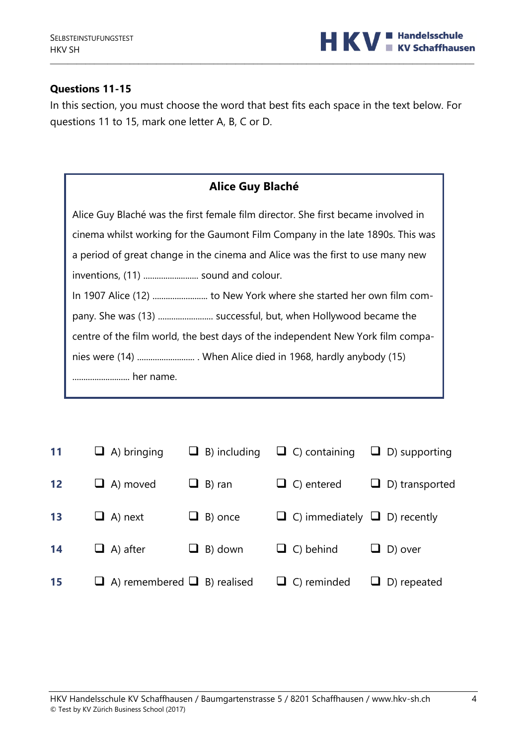

# **Questions 11-15**

In this section, you must choose the word that best fits each space in the text below. For questions 11 to 15, mark one letter A, B, C or D.

| <b>Alice Guy Blaché</b>                                                           |
|-----------------------------------------------------------------------------------|
| Alice Guy Blaché was the first female film director. She first became involved in |
| cinema whilst working for the Gaumont Film Company in the late 1890s. This was    |
| a period of great change in the cinema and Alice was the first to use many new    |
|                                                                                   |
|                                                                                   |
| pany. She was (13)  successful, but, when Hollywood became the                    |
| centre of the film world, the best days of the independent New York film compa-   |
|                                                                                   |
| her name.                                                                         |

| <b>11</b>         | $\Box$ A) bringing                      | $\Box$ B) including | $\Box$ C) containing                     | $\Box$ D) supporting  |
|-------------------|-----------------------------------------|---------------------|------------------------------------------|-----------------------|
| $12 \overline{ }$ | $\Box$ A) moved                         | $\Box$ B) ran       | $\Box$ C) entered                        | $\Box$ D) transported |
| 13                | $\Box$ A) next                          | $\Box$ B) once      | $\Box$ C) immediately $\Box$ D) recently |                       |
| 14                | $\Box$ A) after                         | $\Box$ B) down      | $\Box$ C) behind                         | $\Box$ D) over        |
| 15                | $\Box$ A) remembered $\Box$ B) realised |                     | $\Box$ C) reminded                       | $\Box$ D) repeated    |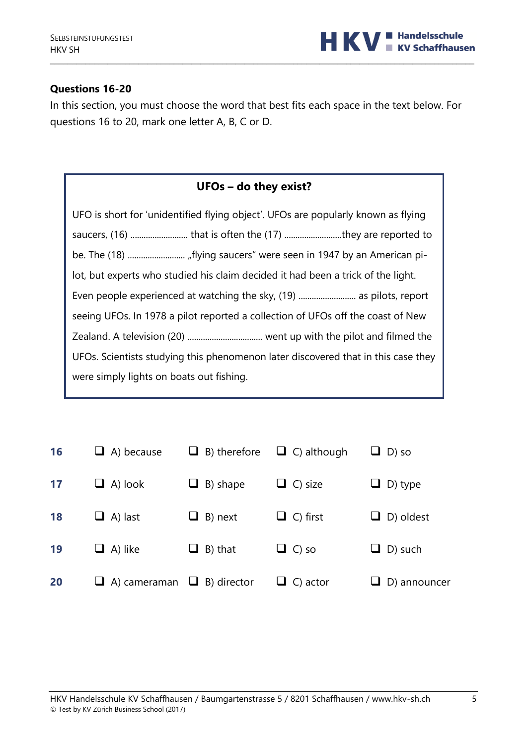

# **Questions 16-20**

In this section, you must choose the word that best fits each space in the text below. For questions 16 to 20, mark one letter A, B, C or D.

|  | UFOs - do they exist? |
|--|-----------------------|
|--|-----------------------|

| UFO is short for 'unidentified flying object'. UFOs are popularly known as flying |
|-----------------------------------------------------------------------------------|
|                                                                                   |
|                                                                                   |
| lot, but experts who studied his claim decided it had been a trick of the light.  |
| Even people experienced at watching the sky, (19)  as pilots, report              |
| seeing UFOs. In 1978 a pilot reported a collection of UFOs off the coast of New   |
|                                                                                   |
| UFOs. Scientists studying this phenomenon later discovered that in this case they |
| were simply lights on boats out fishing.                                          |

| <b>16</b> | $\Box$ A) because                      | $\Box$ B) therefore | $\Box$ C) although | $\Box$ D) so        |
|-----------|----------------------------------------|---------------------|--------------------|---------------------|
| 17        | $\Box$ A) look                         | $\Box$ B) shape     | $\Box$ C) size     | $\Box$ D) type      |
| <b>18</b> | $\Box$ A) last                         | $\Box$ B) next      | $\Box$ C) first    | $\Box$ D) oldest    |
| 19        | $\Box$ A) like                         | $\Box$ B) that      | $\Box$ C) so       | $\Box$ D) such      |
| 20        | $\Box$ A) cameraman $\Box$ B) director |                     | $\Box$ C) actor    | $\Box$ D) announcer |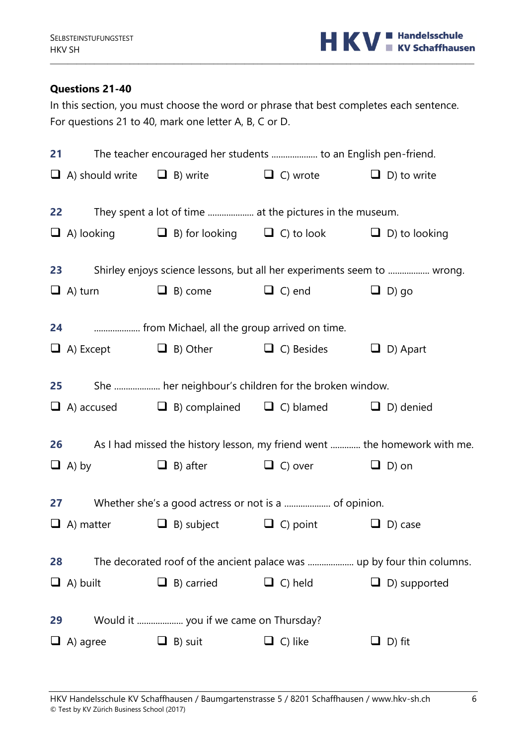

# **Questions 21-40**

In this section, you must choose the word or phrase that best completes each sentence. For questions 21 to 40, mark one letter A, B, C or D.

|    | 21               |                                              | The teacher encouraged her students  to an English pen-friend.                 |                                                                           |
|----|------------------|----------------------------------------------|--------------------------------------------------------------------------------|---------------------------------------------------------------------------|
|    |                  |                                              | $\Box$ A) should write $\Box$ B) write $\Box$ C) wrote $\Box$ D) to write      |                                                                           |
| 22 |                  |                                              | They spent a lot of time  at the pictures in the museum.                       |                                                                           |
|    |                  |                                              | $\Box$ A) looking $\Box$ B) for looking $\Box$ C) to look $\Box$ D) to looking |                                                                           |
| 23 |                  |                                              | Shirley enjoys science lessons, but all her experiments seem to  wrong.        |                                                                           |
|    | $\Box$ A) turn   | $\Box$ B) come                               | $\Box$ C) end                                                                  | $\Box$ D) go                                                              |
| 24 |                  | from Michael, all the group arrived on time. |                                                                                |                                                                           |
|    |                  | $\Box$ A) Except $\Box$ B) Other             | $\Box$ C) Besides $\Box$ D) Apart                                              |                                                                           |
| 25 |                  |                                              | She  her neighbour's children for the broken window.                           |                                                                           |
|    |                  |                                              | $\Box$ A) accused $\Box$ B) complained $\Box$ C) blamed $\Box$ D) denied       |                                                                           |
|    | 26               |                                              |                                                                                | As I had missed the history lesson, my friend went  the homework with me. |
|    | $\Box$ A) by     |                                              | $\Box$ B) after $\Box$ C) over $\Box$ D) on                                    |                                                                           |
|    | 27               |                                              | Whether she's a good actress or not is a  of opinion.                          |                                                                           |
|    | $\Box$ A) matter |                                              | $\Box$ B) subject $\Box$ C) point                                              | $\Box$ D) case                                                            |
| 28 |                  |                                              |                                                                                |                                                                           |
|    | $\Box$ A) built  | $\Box$ B) carried                            | $\Box$ C) held                                                                 | $\Box$ D) supported                                                       |
| 29 |                  | Would it  you if we came on Thursday?        |                                                                                |                                                                           |
|    |                  |                                              |                                                                                |                                                                           |
|    | A) agree         | $\Box$ B) suit                               | C) like                                                                        | D) fit<br>⊔                                                               |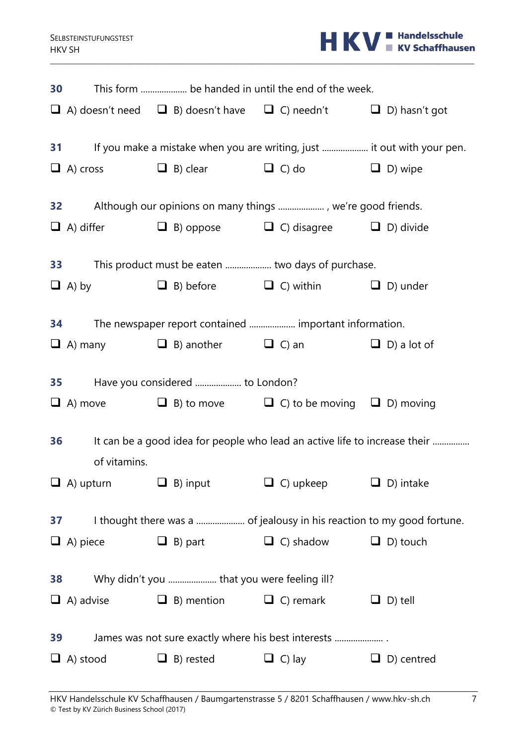

| <b>30</b> |                  |                                            | This form  be handed in until the end of the week.                                   |                   |
|-----------|------------------|--------------------------------------------|--------------------------------------------------------------------------------------|-------------------|
|           |                  |                                            | $\Box$ A) doesn't need $\Box$ B) doesn't have $\Box$ C) needn't $\Box$ D) hasn't got |                   |
|           | <b>31</b>        |                                            | If you make a mistake when you are writing, just  it out with your pen.              |                   |
|           |                  |                                            |                                                                                      |                   |
|           | $\Box$ A) cross  |                                            | $\Box$ B) clear $\Box$ C) do $\Box$ D) wipe                                          |                   |
|           |                  |                                            |                                                                                      |                   |
|           |                  |                                            | $\Box$ A) differ $\Box$ B) oppose $\Box$ C) disagree $\Box$ D) divide                |                   |
|           |                  |                                            |                                                                                      |                   |
|           | <b>33</b>        |                                            | This product must be eaten  two days of purchase.                                    |                   |
|           |                  |                                            | $\Box$ A) by $\Box$ B) before $\Box$ C) within $\Box$ D) under                       |                   |
|           |                  |                                            |                                                                                      |                   |
| 34        |                  |                                            | The newspaper report contained  important information.                               |                   |
|           |                  |                                            | $\Box$ A) many $\Box$ B) another $\Box$ C) an $\Box$ D) a lot of                     |                   |
|           | <b>35</b>        | Have you considered  to London?            |                                                                                      |                   |
|           |                  |                                            |                                                                                      |                   |
|           |                  |                                            | $\Box$ A) move $\Box$ B) to move $\Box$ C) to be moving $\Box$ D) moving             |                   |
| 36        |                  |                                            | It can be a good idea for people who lead an active life to increase their           |                   |
|           | of vitamins.     |                                            |                                                                                      |                   |
|           | $\Box$ A) upturn | $\Box$ B) input                            | $\Box$ C) upkeep                                                                     | $\Box$ D) intake  |
|           |                  |                                            |                                                                                      |                   |
| 37        |                  |                                            |                                                                                      |                   |
|           | $\Box$ A) piece  | $\Box$ B) part                             | $\Box$ C) shadow                                                                     | $\Box$ D) touch   |
|           |                  |                                            |                                                                                      |                   |
| 38        |                  | Why didn't you  that you were feeling ill? |                                                                                      |                   |
|           | $\Box$ A) advise | $\Box$ B) mention                          | $\Box$ C) remark                                                                     | $\Box$ D) tell    |
|           |                  |                                            |                                                                                      |                   |
| 39        |                  |                                            | James was not sure exactly where his best interests                                  |                   |
|           | $\Box$ A) stood  | $\Box$ B) rested                           | $\Box$ C) lay                                                                        | $\Box$ D) centred |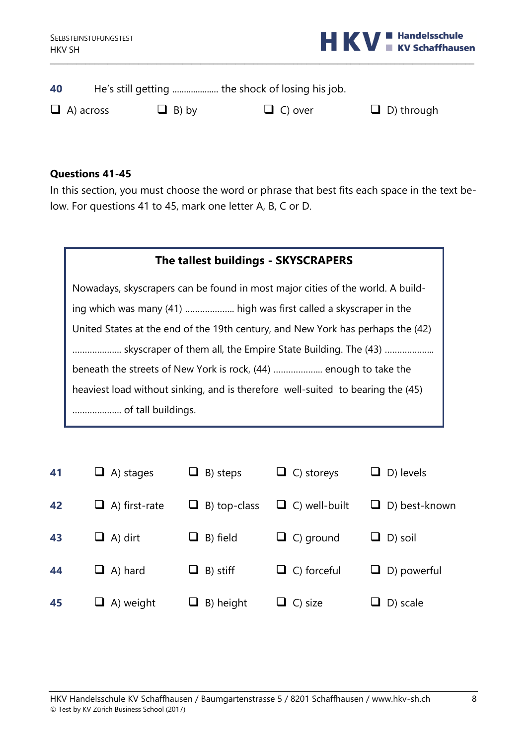

| 40               | He's still getting  the shock of losing his job. |                |                   |
|------------------|--------------------------------------------------|----------------|-------------------|
| $\Box$ A) across | $\Box$ B) by                                     | $\Box$ C) over | $\Box$ D) through |

# **Questions 41-45**

In this section, you must choose the word or phrase that best fits each space in the text below. For questions 41 to 45, mark one letter A, B, C or D.

| The tallest buildings - SKYSCRAPERS                                             |  |  |  |  |
|---------------------------------------------------------------------------------|--|--|--|--|
| Nowadays, skyscrapers can be found in most major cities of the world. A build-  |  |  |  |  |
| ing which was many (41)  high was first called a skyscraper in the              |  |  |  |  |
| United States at the end of the 19th century, and New York has perhaps the (42) |  |  |  |  |
| skyscraper of them all, the Empire State Building. The (43)                     |  |  |  |  |
| beneath the streets of New York is rock, (44)  enough to take the               |  |  |  |  |
| heaviest load without sinking, and is therefore well-suited to bearing the (45) |  |  |  |  |
| of tall buildings.                                                              |  |  |  |  |

| 41 | $\Box$ A) stages     | $\Box$ B) steps     | $\Box$ C) storeys    | $\Box$ D) levels     |
|----|----------------------|---------------------|----------------------|----------------------|
| 42 | $\Box$ A) first-rate | $\Box$ B) top-class | $\Box$ C) well-built | $\Box$ D) best-known |
| 43 | $\Box$ A) dirt       | $\Box$ B) field     | $\Box$ C) ground     | $\Box$ D) soil       |
| 44 | $\Box$ A) hard       | $\Box$ B) stiff     | $\Box$ C) forceful   | $\Box$ D) powerful   |
| 45 | $\Box$ A) weight     | $\Box$ B) height    | $\Box$ C) size       | $\Box$ D) scale      |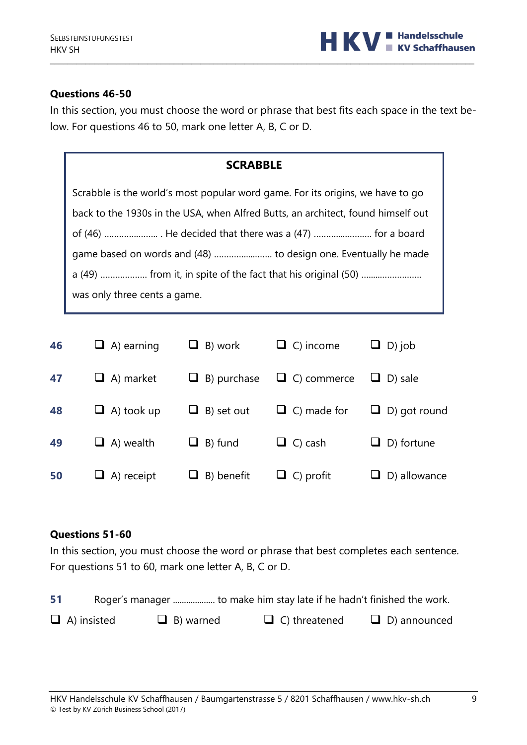

### **Questions 46-50**

In this section, you must choose the word or phrase that best fits each space in the text below. For questions 46 to 50, mark one letter A, B, C or D.

\_\_\_\_\_\_\_\_\_\_\_\_\_\_\_\_\_\_\_\_\_\_\_\_\_\_\_\_\_\_\_\_\_\_\_\_\_\_\_\_\_\_\_\_\_\_\_\_\_\_\_\_\_\_\_\_\_\_\_\_\_\_\_\_\_\_\_\_\_\_\_\_\_\_\_\_\_\_\_\_\_\_\_\_\_\_\_\_\_\_\_\_\_\_\_\_

| <b>SCRABBLE</b>                                                                  |  |  |  |  |
|----------------------------------------------------------------------------------|--|--|--|--|
| Scrabble is the world's most popular word game. For its origins, we have to go   |  |  |  |  |
| back to the 1930s in the USA, when Alfred Butts, an architect, found himself out |  |  |  |  |
| of (46)  He decided that there was a (47)  for a board                           |  |  |  |  |
|                                                                                  |  |  |  |  |
| a (49)  from it, in spite of the fact that his original (50)                     |  |  |  |  |
| was only three cents a game.                                                     |  |  |  |  |
|                                                                                  |  |  |  |  |

| 46 | $\Box$ A) earning | $\Box$ B) work     | $\Box$ C) income   | $\Box$ D) job       |
|----|-------------------|--------------------|--------------------|---------------------|
| 47 | $\Box$ A) market  | $\Box$ B) purchase | $\Box$ C) commerce | $\Box$ D) sale      |
| 48 | $\Box$ A) took up | $\Box$ B) set out  | $\Box$ C) made for | $\Box$ D) got round |
| 49 | $\Box$ A) wealth  | $\Box$ B) fund     | $\Box$ C) cash     | $\Box$ D) fortune   |
| 50 | $\Box$ A) receipt | $\Box$ B) benefit  | $\Box$ C) profit   | $\Box$ D) allowance |

### **Questions 51-60**

In this section, you must choose the word or phrase that best completes each sentence. For questions 51 to 60, mark one letter A, B, C or D.

| 51 |                    |                  |                      |                     |
|----|--------------------|------------------|----------------------|---------------------|
|    | $\Box$ A) insisted | $\Box$ B) warned | $\Box$ C) threatened | $\Box$ D) announced |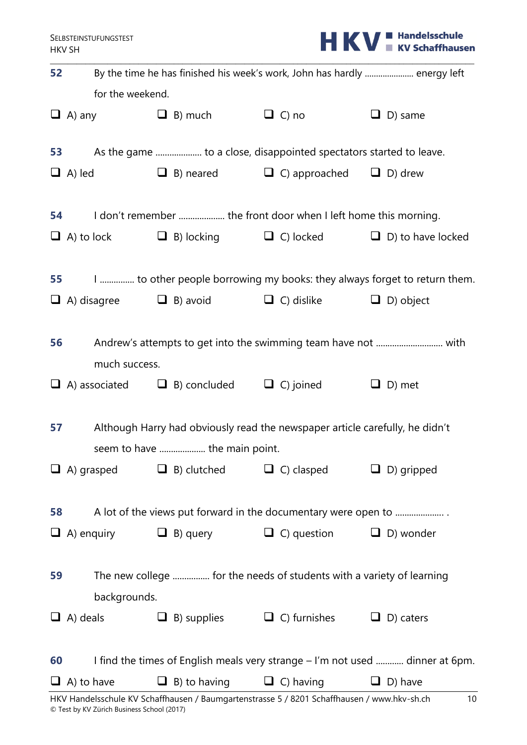|  |  | <b>HKV Expenditure</b> |
|--|--|------------------------|
|  |  |                        |

| 52 |                              |                               |                                                                              | By the time he has finished his week's work, John has hardly  energy left     |  |  |
|----|------------------------------|-------------------------------|------------------------------------------------------------------------------|-------------------------------------------------------------------------------|--|--|
|    | for the weekend.             |                               |                                                                              |                                                                               |  |  |
|    | $\Box$ A) any $\Box$ B) much |                               | $\Box$ C) no                                                                 | $\Box$ D) same                                                                |  |  |
|    | <b>53</b>                    |                               |                                                                              |                                                                               |  |  |
|    | $\Box$ A) led                |                               | $\Box$ B) neared $\Box$ C) approached $\Box$ D) drew                         |                                                                               |  |  |
| 54 |                              |                               | I don't remember  the front door when I left home this morning.              |                                                                               |  |  |
|    |                              |                               |                                                                              | $\Box$ A) to lock $\Box$ B) locking $\Box$ C) locked $\Box$ D) to have locked |  |  |
|    | <b>55</b>                    |                               |                                                                              | I  to other people borrowing my books: they always forget to return them.     |  |  |
|    |                              |                               | $\Box$ A) disagree $\Box$ B) avoid $\Box$ C) dislike $\Box$ D) object        |                                                                               |  |  |
| 56 | much success.                |                               |                                                                              |                                                                               |  |  |
|    |                              |                               | $\Box$ A) associated $\Box$ B) concluded $\Box$ C) joined                    | $\Box$ D) met                                                                 |  |  |
| 57 |                              | seem to have  the main point. | Although Harry had obviously read the newspaper article carefully, he didn't |                                                                               |  |  |
|    | $\Box$ A) grasped            | $\Box$ B) clutched            | $\Box$ C) clasped                                                            | $\Box$ D) gripped                                                             |  |  |
| 58 |                              |                               | A lot of the views put forward in the documentary were open to               |                                                                               |  |  |
|    | $\Box$ A) enquiry            | $\Box$ B) query               | $\Box$ C) question                                                           | $\Box$ D) wonder                                                              |  |  |
| 59 | backgrounds.                 |                               | The new college  for the needs of students with a variety of learning        |                                                                               |  |  |
|    | $\Box$ A) deals              | $\Box$ B) supplies            | $\Box$ C) furnishes                                                          | $\Box$ D) caters                                                              |  |  |
| 60 |                              |                               |                                                                              | I find the times of English meals very strange - I'm not used  dinner at 6pm. |  |  |
|    | $\Box$ A) to have            | $\Box$ B) to having           | $\Box$ C) having                                                             | $\Box$ D) have                                                                |  |  |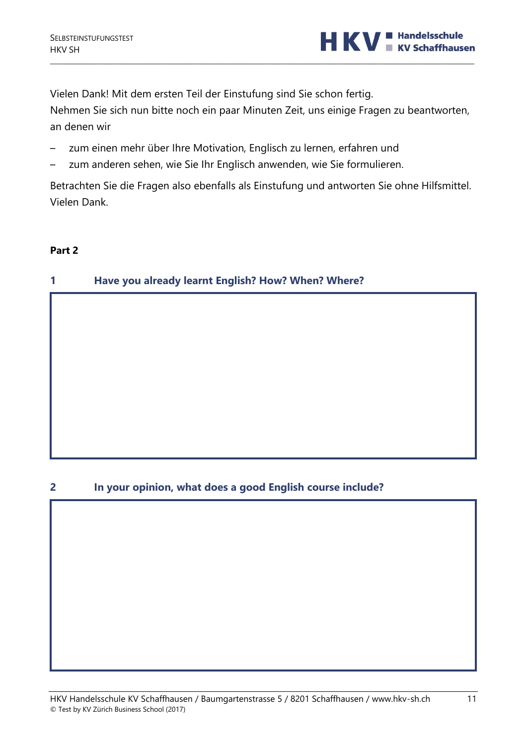

Vielen Dank! Mit dem ersten Teil der Einstufung sind Sie schon fertig.

Nehmen Sie sich nun bitte noch ein paar Minuten Zeit, uns einige Fragen zu beantworten, an denen wir

\_\_\_\_\_\_\_\_\_\_\_\_\_\_\_\_\_\_\_\_\_\_\_\_\_\_\_\_\_\_\_\_\_\_\_\_\_\_\_\_\_\_\_\_\_\_\_\_\_\_\_\_\_\_\_\_\_\_\_\_\_\_\_\_\_\_\_\_\_\_\_\_\_\_\_\_\_\_\_\_\_\_\_\_\_\_\_\_\_\_\_\_\_\_\_\_

- zum einen mehr über Ihre Motivation, Englisch zu lernen, erfahren und
- zum anderen sehen, wie Sie Ihr Englisch anwenden, wie Sie formulieren.

Betrachten Sie die Fragen also ebenfalls als Einstufung und antworten Sie ohne Hilfsmittel. Vielen Dank.

### **Part 2**

# **1 Have you already learnt English? How? When? Where?**

### **2 In your opinion, what does a good English course include?**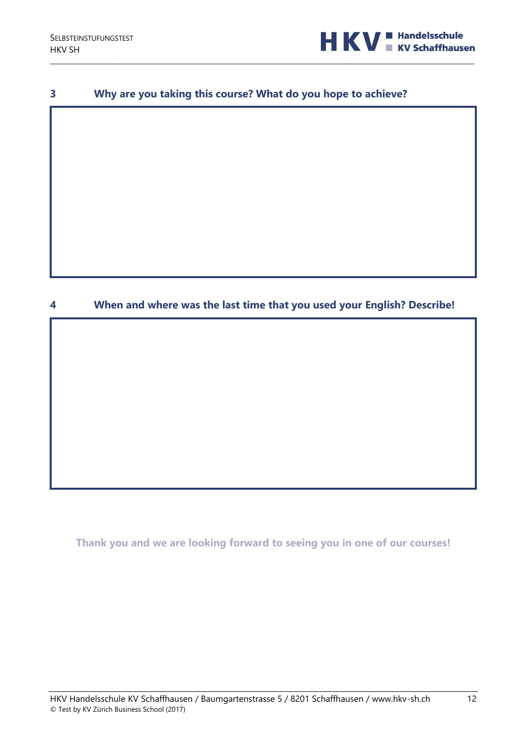

### **3 Why are you taking this course? What do you hope to achieve?**

\_\_\_\_\_\_\_\_\_\_\_\_\_\_\_\_\_\_\_\_\_\_\_\_\_\_\_\_\_\_\_\_\_\_\_\_\_\_\_\_\_\_\_\_\_\_\_\_\_\_\_\_\_\_\_\_\_\_\_\_\_\_\_\_\_\_\_\_\_\_\_\_\_\_\_\_\_\_\_\_\_\_\_\_\_\_\_\_\_\_\_\_\_\_\_\_

# **4 When and where was the last time that you used your English? Describe!**

**Thank you and we are looking forward to seeing you in one of our courses!**